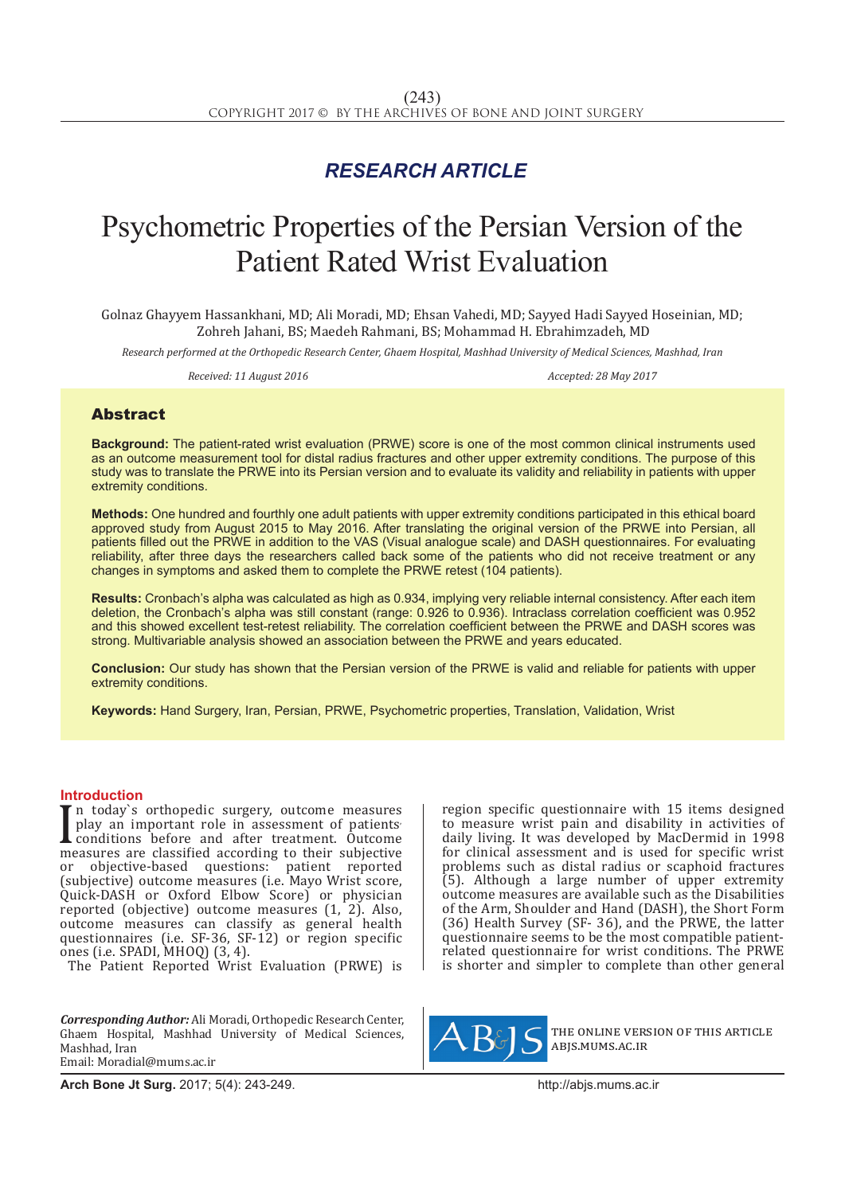# *RESEARCH ARTICLE*

# Psychometric Properties of the Persian Version of the Patient Rated Wrist Evaluation

Golnaz Ghayyem Hassankhani, MD; Ali Moradi, MD; Ehsan Vahedi, MD; Sayyed Hadi Sayyed Hoseinian, MD; Zohreh Jahani, BS; Maedeh Rahmani, BS; Mohammad H. Ebrahimzadeh, MD

*Research performed at the Orthopedic Research Center, Ghaem Hospital, Mashhad University of Medical Sciences, Mashhad, Iran*

*Received: 11 August 2016 Accepted: 28 May 2017*

## Abstract

**Background:** The patient-rated wrist evaluation (PRWE) score is one of the most common clinical instruments used as an outcome measurement tool for distal radius fractures and other upper extremity conditions. The purpose of this study was to translate the PRWE into its Persian version and to evaluate its validity and reliability in patients with upper extremity conditions.

**Methods:** One hundred and fourthly one adult patients with upper extremity conditions participated in this ethical board approved study from August 2015 to May 2016. After translating the original version of the PRWE into Persian, all patients filled out the PRWE in addition to the VAS (Visual analogue scale) and DASH questionnaires. For evaluating reliability, after three days the researchers called back some of the patients who did not receive treatment or any changes in symptoms and asked them to complete the PRWE retest (104 patients).

**Results:** Cronbach's alpha was calculated as high as 0.934, implying very reliable internal consistency. After each item deletion, the Cronbach's alpha was still constant (range: 0.926 to 0.936). Intraclass correlation coefficient was 0.952 and this showed excellent test-retest reliability. The correlation coefficient between the PRWE and DASH scores was strong. Multivariable analysis showed an association between the PRWE and years educated.

**Conclusion:** Our study has shown that the Persian version of the PRWE is valid and reliable for patients with upper extremity conditions.

**Keywords:** Hand Surgery, Iran, Persian, PRWE, Psychometric properties, Translation, Validation, Wrist

#### **Introduction**

I measures are classified according to their subjective measures are classified according to their subjective measures are classified according to their subjective n today`s orthopedic surgery, outcome measures play an important role in assessment of patients conditions before and after treatment. Outcome or objective-based questions: patient reported (subjective) outcome measures (i.e. Mayo Wrist score, Quick-DASH or Oxford Elbow Score) or physician reported (objective) outcome measures (1, 2). Also, outcome measures can classify as general health questionnaires (i.e. SF-36, SF-12) or region specific ones (i.e. SPADI, MHOQ) (3, 4).

The Patient Reported Wrist Evaluation (PRWE) is

*Corresponding Author:* Ali Moradi, Orthopedic Research Center, Ghaem Hospital, Mashhad University of Medical Sciences, Mashhad, Iran Email: Moradial@mums.ac.ir

region specific questionnaire with 15 items designed to measure wrist pain and disability in activities of daily living. It was developed by MacDermid in 1998 for clinical assessment and is used for specific wrist problems such as distal radius or scaphoid fractures  $(5)$ . Although a large number of upper extremity outcome measures are available such as the Disabilities of the Arm, Shoulder and Hand (DASH), the Short Form (36) Health Survey (SF- 36), and the PRWE, the latter questionnaire seems to be the most compatible patientrelated questionnaire for wrist conditions. The PRWE is shorter and simpler to complete than other general



the online version of this article abjs.mums.ac.ir

**Arch Bone Jt Surg.** 2017; 5(4): 243-249.http://abjs.mums.ac.ir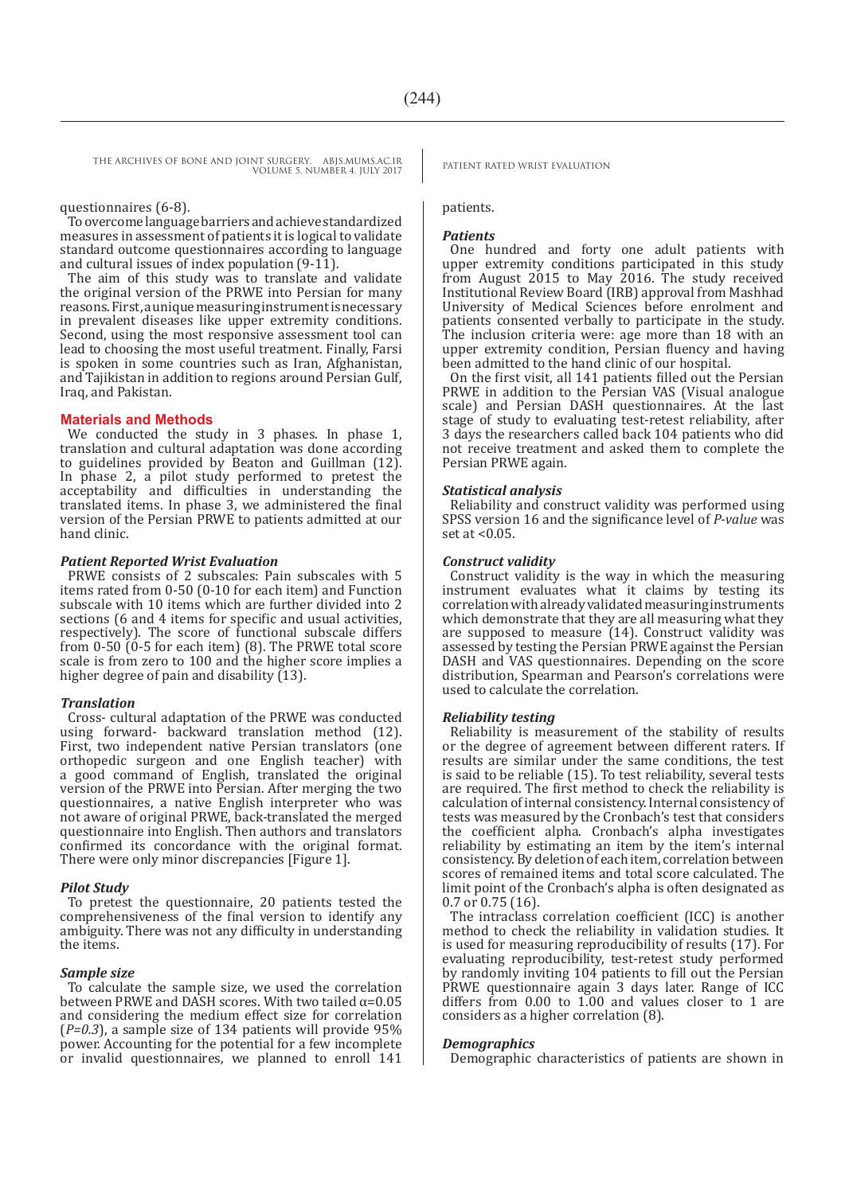#### questionnaires (6-8).

To overcome language barriers and achieve standardized measures in assessment of patients it is logical to validate standard outcome questionnaires according to language and cultural issues of index population (9-11).

The aim of this study was to translate and validate the original version of the PRWE into Persian for many reasons. First, a unique measuring instrument is necessary in prevalent diseases like upper extremity conditions. Second, using the most responsive assessment tool can lead to choosing the most useful treatment. Finally, Farsi is spoken in some countries such as Iran, Afghanistan, and Tajikistan in addition to regions around Persian Gulf, Iraq, and Pakistan.

#### **Materials and Methods**

We conducted the study in 3 phases. In phase 1, translation and cultural adaptation was done according to guidelines provided by Beaton and Guillman (12). In phase 2, a pilot study performed to pretest the acceptability and difficulties in understanding the translated items. In phase 3, we administered the final version of the Persian PRWE to patients admitted at our hand clinic.

#### *Patient Reported Wrist Evaluation*

PRWE consists of 2 subscales: Pain subscales with 5 items rated from 0-50 (0-10 for each item) and Function subscale with 10 items which are further divided into 2 sections (6 and 4 items for specific and usual activities, respectively). The score of functional subscale differs from 0-50 (0-5 for each item) (8). The PRWE total score scale is from zero to 100 and the higher score implies a higher degree of pain and disability  $(13)$ .

#### *Translation*

Cross- cultural adaptation of the PRWE was conducted using forward- backward translation method (12). First, two independent native Persian translators (one orthopedic surgeon and one English teacher) with a good command of English, translated the original version of the PRWE into Persian. After merging the two questionnaires, a native English interpreter who was not aware of original PRWE, back-translated the merged questionnaire into English. Then authors and translators confirmed its concordance with the original format. There were only minor discrepancies [Figure 1].

#### *Pilot Study*

To pretest the questionnaire, 20 patients tested the comprehensiveness of the final version to identify any ambiguity. There was not any difficulty in understanding the items.

#### *Sample size*

To calculate the sample size, we used the correlation between PRWE and DASH scores. With two tailed  $\alpha$ =0.05 and considering the medium effect size for correlation (*Ρ=0.3*), a sample size of 134 patients will provide 95% power. Accounting for the potential for a few incomplete or invalid questionnaires, we planned to enroll 141

### patients.

#### *Patients*

One hundred and forty one adult patients with upper extremity conditions participated in this study from August 2015 to May 2016. The study received Institutional Review Board (IRB) approval from Mashhad University of Medical Sciences before enrolment and patients consented verbally to participate in the study. The inclusion criteria were: age more than 18 with an upper extremity condition, Persian fluency and having been admitted to the hand clinic of our hospital.

On the first visit, all 141 patients filled out the Persian PRWE in addition to the Persian VAS (Visual analogue scale) and Persian DASH questionnaires. At the last stage of study to evaluating test-retest reliability, after 3 days the researchers called back 104 patients who did not receive treatment and asked them to complete the Persian PRWE again.

#### *Statistical analysis*

Reliability and construct validity was performed using SPSS version 16 and the significance level of *P-value* was set at <0.05.

#### *Construct validity*

Construct validity is the way in which the measuring instrument evaluates what it claims by testing its correlation with already validated measuring instruments which demonstrate that they are all measuring what they are supposed to measure (14). Construct validity was assessed by testing the Persian PRWE against the Persian DASH and VAS questionnaires. Depending on the score distribution, Spearman and Pearson's correlations were used to calculate the correlation.

#### *Reliability testing*

Reliability is measurement of the stability of results or the degree of agreement between different raters. If results are similar under the same conditions, the test is said to be reliable (15). To test reliability, several tests are required. The first method to check the reliability is calculation of internal consistency. Internal consistency of tests was measured by the Cronbach's test that considers the coefficient alpha. Cronbach's alpha investigates reliability by estimating an item by the item's internal consistency. By deletion of each item, correlation between scores of remained items and total score calculated. The limit point of the Cronbach's alpha is often designated as 0.7 or 0.75 (16).

The intraclass correlation coefficient (ICC) is another method to check the reliability in validation studies. It is used for measuring reproducibility of results (17). For evaluating reproducibility, test-retest study performed by randomly inviting 104 patients to fill out the Persian PRWE questionnaire again 3 days later. Range of ICC differs from 0.00 to 1.00 and values closer to 1 are considers as a higher correlation (8).

#### *Demographics*

Demographic characteristics of patients are shown in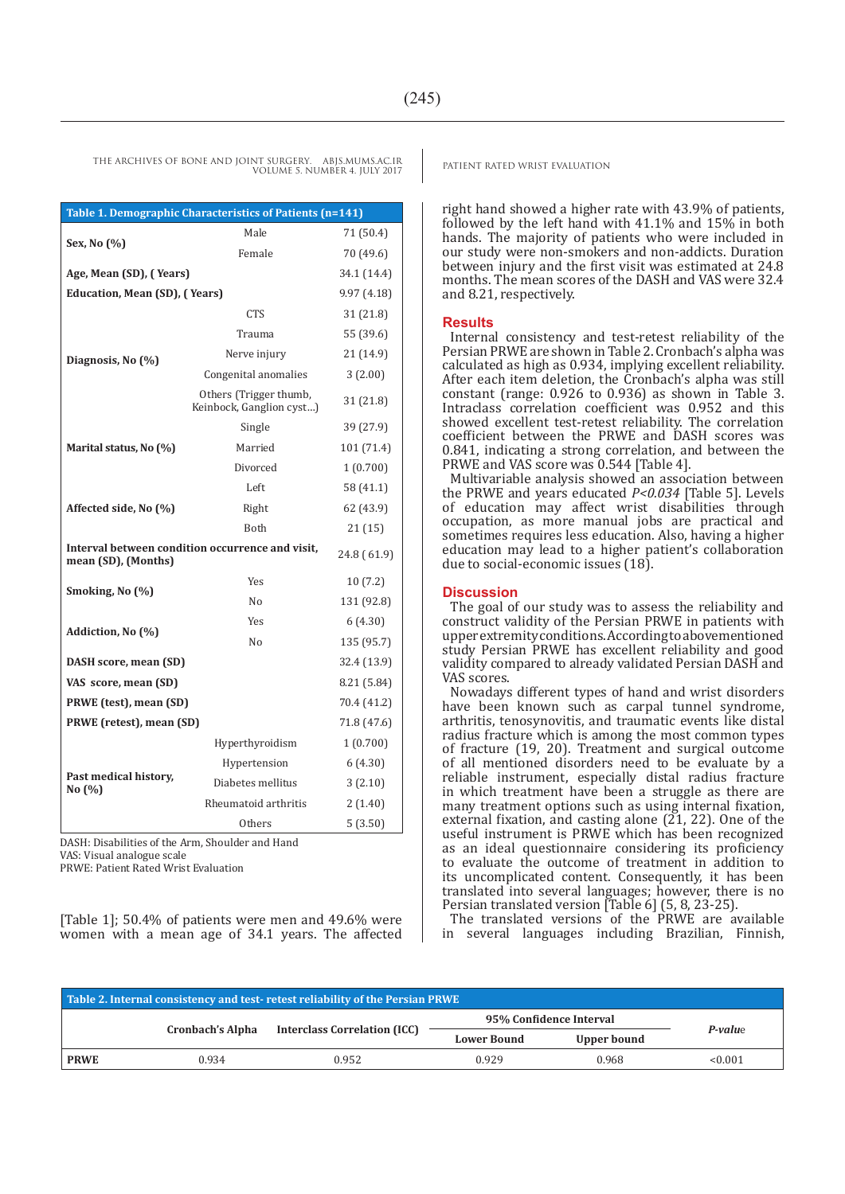|                                 | Table 1. Demographic Characteristics of Patients (n=141) |             |  |  |  |  |  |  |  |  |  |  |  |
|---------------------------------|----------------------------------------------------------|-------------|--|--|--|--|--|--|--|--|--|--|--|
|                                 | Male                                                     | 71 (50.4)   |  |  |  |  |  |  |  |  |  |  |  |
| Sex, No (%)                     | Female                                                   | 70 (49.6)   |  |  |  |  |  |  |  |  |  |  |  |
| Age, Mean (SD), (Years)         | 34.1 (14.4)<br>9.97(4.18)                                |             |  |  |  |  |  |  |  |  |  |  |  |
| Education, Mean (SD), (Years)   | <b>CTS</b>                                               |             |  |  |  |  |  |  |  |  |  |  |  |
|                                 |                                                          | 31 (21.8)   |  |  |  |  |  |  |  |  |  |  |  |
|                                 | Trauma                                                   | 55 (39.6)   |  |  |  |  |  |  |  |  |  |  |  |
| Diagnosis, No (%)               | Nerve injury                                             | 21 (14.9)   |  |  |  |  |  |  |  |  |  |  |  |
|                                 | Congenital anomalies                                     | 3(2.00)     |  |  |  |  |  |  |  |  |  |  |  |
|                                 | Others (Trigger thumb,<br>Keinbock, Ganglion cyst)       | 31 (21.8)   |  |  |  |  |  |  |  |  |  |  |  |
|                                 | Single                                                   | 39 (27.9)   |  |  |  |  |  |  |  |  |  |  |  |
| Marital status, No (%)          | Married                                                  | 101 (71.4)  |  |  |  |  |  |  |  |  |  |  |  |
|                                 | Divorced                                                 | 1(0.700)    |  |  |  |  |  |  |  |  |  |  |  |
|                                 | Left                                                     | 58 (41.1)   |  |  |  |  |  |  |  |  |  |  |  |
| Affected side, No (%)           | Right                                                    | 62 (43.9)   |  |  |  |  |  |  |  |  |  |  |  |
|                                 | <b>Both</b>                                              | 21 (15)     |  |  |  |  |  |  |  |  |  |  |  |
| mean (SD), (Months)             | Interval between condition occurrence and visit.         | 24.8 (61.9) |  |  |  |  |  |  |  |  |  |  |  |
|                                 | <b>Yes</b>                                               | 10(7.2)     |  |  |  |  |  |  |  |  |  |  |  |
| Smoking, No (%)                 | N <sub>0</sub>                                           | 131 (92.8)  |  |  |  |  |  |  |  |  |  |  |  |
|                                 | Yes                                                      | 6 (4.30)    |  |  |  |  |  |  |  |  |  |  |  |
| Addiction, No (%)               | No                                                       | 135 (95.7)  |  |  |  |  |  |  |  |  |  |  |  |
| DASH score, mean (SD)           |                                                          | 32.4 (13.9) |  |  |  |  |  |  |  |  |  |  |  |
| VAS score, mean (SD)            |                                                          | 8.21 (5.84) |  |  |  |  |  |  |  |  |  |  |  |
| PRWE (test), mean (SD)          |                                                          | 70.4 (41.2) |  |  |  |  |  |  |  |  |  |  |  |
| PRWE (retest), mean (SD)        |                                                          | 71.8 (47.6) |  |  |  |  |  |  |  |  |  |  |  |
|                                 | Hyperthyroidism                                          | 1(0.700)    |  |  |  |  |  |  |  |  |  |  |  |
|                                 | Hypertension                                             | 6(4.30)     |  |  |  |  |  |  |  |  |  |  |  |
| Past medical history,<br>No (%) | Diabetes mellitus                                        | 3(2.10)     |  |  |  |  |  |  |  |  |  |  |  |
|                                 | Rheumatoid arthritis                                     | 2(1.40)     |  |  |  |  |  |  |  |  |  |  |  |
|                                 | Others                                                   | 5(3.50)     |  |  |  |  |  |  |  |  |  |  |  |

DASH: Disabilities of the Arm, Shoulder and Hand

VAS: Visual analogue scale PRWE: Patient Rated Wrist Evaluation

[Table 1]; 50.4% of patients were men and 49.6% were women with a mean age of 34.1 years. The affected

right hand showed a higher rate with 43.9% of patients, followed by the left hand with  $41.1\%$  and  $15\%$  in both hands. The majority of patients who were included in our study were non-smokers and non-addicts. Duration between injury and the first visit was estimated at 24.8 months. The mean scores of the DASH and VAS were 32.4 and 8.21, respectively.

#### **Results**

Internal consistency and test-retest reliability of the Persian PRWE are shown in Table 2. Cronbach's alpha was calculated as high as 0.934, implying excellent reliability. After each item deletion, the Cronbach's alpha was still constant (range: 0.926 to 0.936) as shown in Table 3. Intraclass correlation coefficient was 0.952 and this showed excellent test-retest reliability. The correlation coefficient between the PRWE and DASH scores was 0.841, indicating a strong correlation, and between the PRWE and VAS score was 0.544 [Table 4].

Multivariable analysis showed an association between the PRWE and years educated *P<0.034* [Table 5]. Levels of education may affect wrist disabilities through occupation, as more manual jobs are practical and sometimes requires less education. Also, having a higher education may lead to a higher patient's collaboration due to social-economic issues (18).

#### **Discussion**

The goal of our study was to assess the reliability and construct validity of the Persian PRWE in patients with upper extremity conditions. According to abovementioned study Persian PRWE has excellent reliability and good validity compared to already validated Persian DASH and VAS scores.

Nowadays different types of hand and wrist disorders have been known such as carpal tunnel syndrome, arthritis, tenosynovitis, and traumatic events like distal radius fracture which is among the most common types of fracture (19, 20). Treatment and surgical outcome of all mentioned disorders need to be evaluate by a reliable instrument, especially distal radius fracture in which treatment have been a struggle as there are many treatment options such as using internal fixation, external fixation, and casting alone (21, 22). One of the useful instrument is PRWE which has been recognized as an ideal questionnaire considering its proficiency to evaluate the outcome of treatment in addition to its uncomplicated content. Consequently, it has been translated into several languages; however, there is no Persian translated version [Table 6] (5, 8, 23-25).

The translated versions of the PRWE are available in several languages including Brazilian, Finnish,

|             |                         | Table 2. Internal consistency and test-retest reliability of the Persian PRWE |                    |                         |         |
|-------------|-------------------------|-------------------------------------------------------------------------------|--------------------|-------------------------|---------|
|             |                         |                                                                               |                    | 95% Confidence Interval |         |
|             | <b>Cronbach's Alpha</b> | <b>Interclass Correlation (ICC)</b>                                           | <b>Lower Bound</b> | Upper bound             | P-value |
| <b>PRWE</b> | 0.934                   | 0.952                                                                         | 0.929              | 0.968                   | < 0.001 |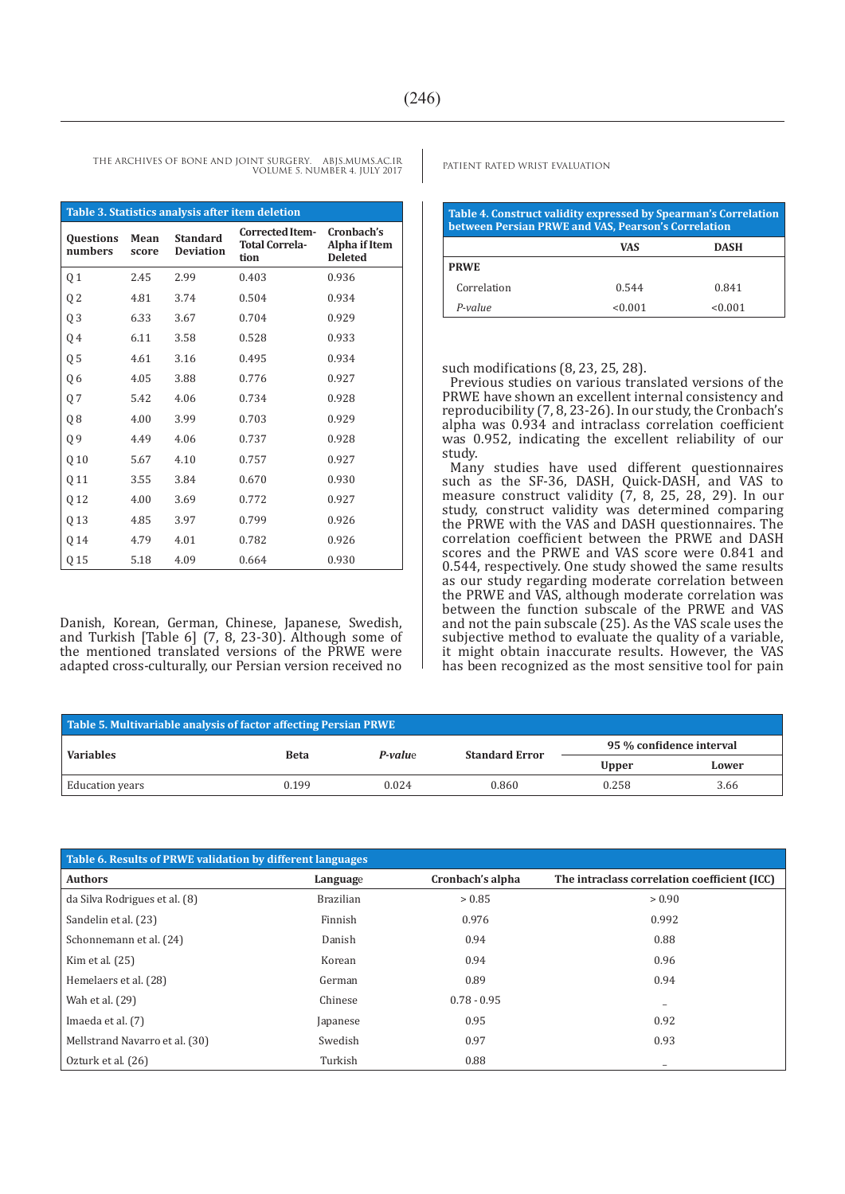VOLUME 5. NUMBER 4. JULY 2017

**Table 3. Statistics analysis after item deletion Questions numbers Mean score Standard Deviation Corrected Item-Total Correlation Cronbach's Alpha if Item Deleted** Q 1 2.45 2.99 0.403 0.936 Q 2 4.81 3.74 0.504 0.934 Q 3 6.33 3.67 0.704 0.929 Q 4 6.11 3.58 0.528 0.933 Q 5 4.61 3.16 0.495 0.934 Q 6 4.05 3.88 0.776 0.927 Q 7 5.42 4.06 0.734 0.928 Q 8 4.00 3.99 0.703 0.929 Q 9 4.49 4.06 0.737 0.928 Q 10 5.67 4.10 0.757 0.927 Q 11 3.55 3.84 0.670 0.930 Q 12 4.00 3.69 0.772 0.927 Q 13 4.85 3.97 0.799 0.926 Q 14 4.79 4.01 0.782 0.926 Q 15 5.18 4.09 0.664 0.930

Danish, Korean, German, Chinese, Japanese, Swedish, and Turkish [Table 6] (7, 8, 23-30). Although some of the mentioned translated versions of the PRWE were adapted cross-culturally, our Persian version received no

THE ARCHIVES OF BONE AND JOINT SURGERY. ABJS.MUMS.AC.IR<br>PATIENT RATED WRIST EVALUATION

| Table 4. Construct validity expressed by Spearman's Correlation<br>between Persian PRWE and VAS, Pearson's Correlation |            |             |
|------------------------------------------------------------------------------------------------------------------------|------------|-------------|
|                                                                                                                        | <b>VAS</b> | <b>DASH</b> |
| <b>PRWE</b>                                                                                                            |            |             |
| Correlation                                                                                                            | 0.544      | 0.841       |
| $P-value$                                                                                                              | < 0.001    | < 0.001     |

such modifications (8, 23, 25, 28).

Previous studies on various translated versions of the PRWE have shown an excellent internal consistency and reproducibility (7, 8, 23-26). In our study, the Cronbach's alpha was 0.934 and intraclass correlation coefficient was 0.952, indicating the excellent reliability of our study.

Many studies have used different questionnaires such as the SF-36, DASH, Quick-DASH, and VAS to measure construct validity (7, 8, 25, 28, 29). In our study, construct validity was determined comparing the PRWE with the VAS and DASH questionnaires. The correlation coefficient between the PRWE and DASH scores and the PRWE and VAS score were 0.841 and 0.544, respectively. One study showed the same results as our study regarding moderate correlation between the PRWE and VAS, although moderate correlation was between the function subscale of the PRWE and VAS and not the pain subscale (25). As the VAS scale uses the subjective method to evaluate the quality of a variable, it might obtain inaccurate results. However, the VAS has been recognized as the most sensitive tool for pain

| Table 5. Multivariable analysis of factor affecting Persian PRWE |             |                |                       |                                                                    |  |
|------------------------------------------------------------------|-------------|----------------|-----------------------|--------------------------------------------------------------------|--|
| <b>Variables</b>                                                 |             | <b>P-value</b> | <b>Standard Error</b> | 95 % confidence interval<br><b>Upper</b><br>Lower<br>0.258<br>3.66 |  |
|                                                                  | <b>Beta</b> |                |                       |                                                                    |  |
| Education years                                                  | 0.199       | 0.024          | 0.860                 |                                                                    |  |

| Table 6. Results of PRWE validation by different languages |                  |                  |                                              |
|------------------------------------------------------------|------------------|------------------|----------------------------------------------|
| <b>Authors</b>                                             | Language         | Cronbach's alpha | The intraclass correlation coefficient (ICC) |
| da Silva Rodrigues et al. (8)                              | <b>Brazilian</b> | > 0.85           | > 0.90                                       |
| Sandelin et al. (23)                                       | Finnish          | 0.976            | 0.992                                        |
| Schonnemann et al. (24)                                    | Danish           | 0.94             | 0.88                                         |
| Kim et al. $(25)$                                          | Korean           | 0.94             | 0.96                                         |
| Hemelaers et al. (28)                                      | German           | 0.89             | 0.94                                         |
| Wah et al. (29)                                            | Chinese          | $0.78 - 0.95$    | $\qquad \qquad$                              |
| Imaeda et al. (7)                                          | Japanese         | 0.95             | 0.92                                         |
| Mellstrand Navarro et al. (30)                             | Swedish          | 0.97             | 0.93                                         |
| Ozturk et al. (26)                                         | Turkish          | 0.88             | $\overline{\phantom{0}}$                     |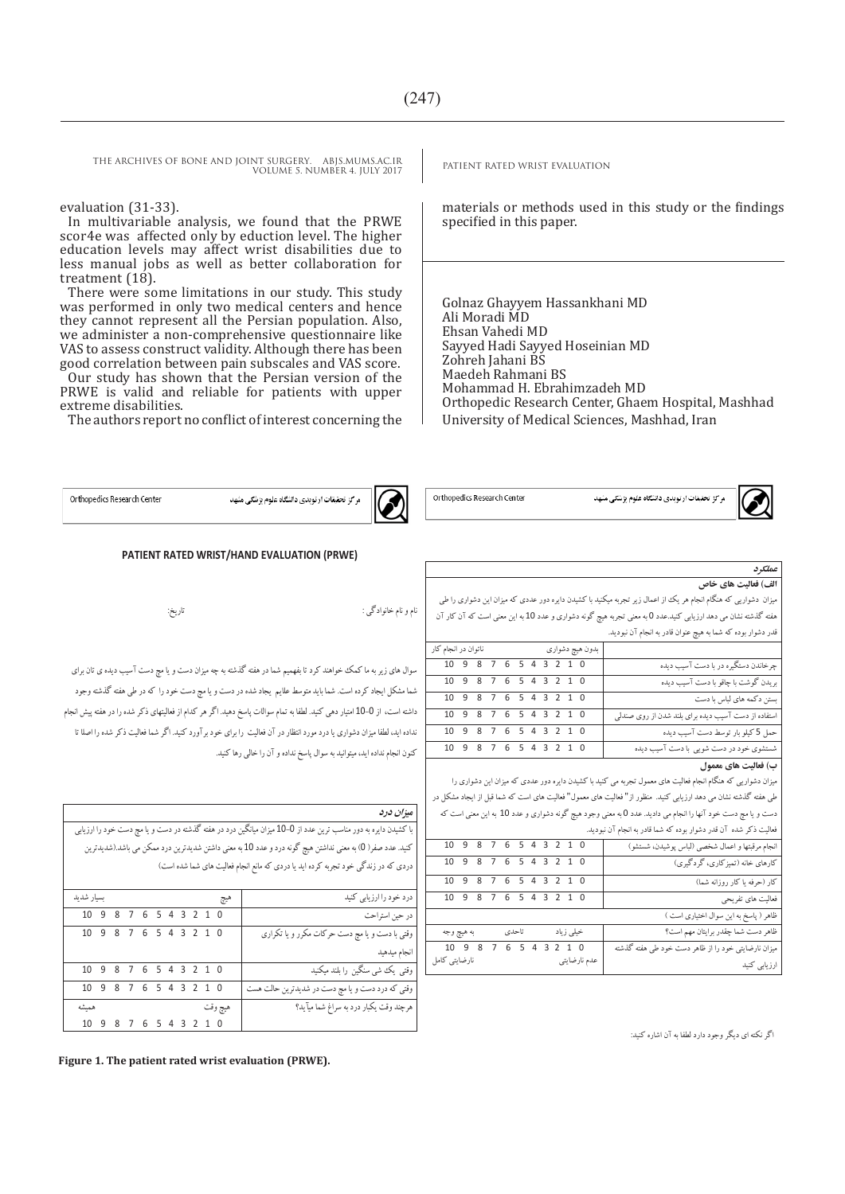THE ARCHIVES OF BONE AND JOINT SURGERY. ABJS.MUMS.AC.IR<br>VOULLES NUMBER 4 HUV 2017 VOLUME 5. NUMBER 4. JULY 2017

#### evaluation (31-33).

In multivariable analysis, we found that the PRWE scor4e was affected only by eduction level. The higher education levels may affect wrist disabilities due to less manual jobs as well as better collaboration for treatment  $(18)$ .

There were some limitations in our study. This study was performed in only two medical centers and hence they cannot represent all the Persian population. Also, we administer a non-comprehensive questionnaire like VAS to assess construct validity. Although there has been good correlation between pain subscales and VAS score. Our study has shown that the Persian version of the

PRWE is valid and reliable for patients with upper extreme disabilities.

The authors report no conflict of interest concerning the

**PATIENT RATED WRIST/HAND EVALUATION (PRWE)**

سوال های زیر به ما کمک خواهند کرد تا بفهمیم شما در هفته گذشته به چه میزان دست و یا مچ دست آسیب دیده ی تان برای شما مشکل ایجاد کرده است. شما باید متوسط علایم یجاد شده در دست و یا مچ دست خود را که در طی هفته گذشته وجود داشته است، از 00-0 امتیار دهی کنید. لطفا به تمام سوالات پاسخ دهید. اگر هر کدام از فعالیتهای ذکر شده را در هفته پیش انجام نداده اید، لطفا میزان دشواری یا درد مورد انتظار در آن فعالیت را برای خود برآورد کنید. اگر شما فعالیت ذکر شده را اصلا تا

نام و نام خانوادگی : تاریخ:

کنون انجام نداده اید، میتوانید به سوال پاسخ نداده و آن را خالی رها کنید.

materials or methods used in this study or the findings specified in this paper.

Golnaz Ghayyem Hassankhani MD Ali Moradi MD Ehsan Vahedi MD Sayyed Hadi Sayyed Hoseinian MD Zohreh Jahani BS Maedeh Rahmani BS Mohammad H. Ebrahimzadeh MD Orthopedic Research Center, Ghaem Hospital, Mashhad University of Medical Sciences, Mashhad, Iran

Orthopedics Research Center



Orthopedics Research Center

|--|

|  |  |  | مرکز تحقیقات ارتویدی دانشگاه علوم پزشکی مشهد |  |
|--|--|--|----------------------------------------------|--|
|  |  |  |                                              |  |



میزان دشواریی که هنگام انجام هر یک از اعمال زیرتجربه میکنید با کشیدن دایره دور عددی که میزان این دشواری را طی هفته گذشته نشان می دهد ارزیابی کنید.عدد 0 به معنی تجربه هیچ گونه دشواری و عدد 00 به این معنی است که آن کار آن قدر دشوار بوده که شما به هیچ عنوان قادر به انجام آن نبودید.

|                                                     | بدون هیچ دشواری مسلمی است از انجام کار |  |  |  |  |  |  |                        |  |
|-----------------------------------------------------|----------------------------------------|--|--|--|--|--|--|------------------------|--|
| چرخاندن دستگیره در با دست آسیب دیده                 |                                        |  |  |  |  |  |  | 10 9 8 7 6 5 4 3 2 1 0 |  |
| بریدن گوشت با چاقو با دست آسیب دیده                 |                                        |  |  |  |  |  |  | 10 9 8 7 6 5 4 3 2 1 0 |  |
| بستن دکمه های لباس با دست                           |                                        |  |  |  |  |  |  | 10 9 8 7 6 5 4 3 2 1 0 |  |
| استفاده از دست آسیب دیده برای بلند شدن از روی صندلی |                                        |  |  |  |  |  |  | 10 9 8 7 6 5 4 3 2 1 0 |  |
| حمل 5 کیلو بار توسط دست آسیب دیده                   |                                        |  |  |  |  |  |  | 10 9 8 7 6 5 4 3 2 1 0 |  |
| شستشوی خود در دست شویی با دست آسیب دیده             |                                        |  |  |  |  |  |  | 10 9 8 7 6 5 4 3 2 1 0 |  |
|                                                     |                                        |  |  |  |  |  |  |                        |  |

#### **ب( فعالیت های معمول**

میزان دشواریی که هنگام انجام فعالیت های معمول تجربه می کنید با کشیدن دایره دورعددی که میزان این دشواری را طی هفته گذشته نشان می دهد ارزیابی کنید. منظور از" فعالیت های معمول" فعالیت های است که شما قبل از ایجاد مشکل در دست و یا مچ دست خود آنها را انجام می دادید.عدد 0 به معنی وجود هیچ گونه دشواری و عدد 00 به این معنی است که

|  | نعالیت ذکر شده آن قدر دشوار بوده که شما قادر به انجام آن نبودید. |  |  |
|--|------------------------------------------------------------------|--|--|
|--|------------------------------------------------------------------|--|--|

| 10 9 8 7 6 5 4 3 2 1 0 |  |       |  |           |              | انجام مرقبتها و اعمال شخصی (لباس یو شیدن، شستشو)    |
|------------------------|--|-------|--|-----------|--------------|-----------------------------------------------------|
| 10 9 8 7 6 5 4 3 2 1 0 |  |       |  |           |              | کارهای خانه (تمیز کاری، گردگیری)                    |
| 10 9 8 7 6 5 4 3 2 1 0 |  |       |  |           |              | کار (حرفه یا کار روزانه شما)                        |
| 10 9 8 7 6 5 4 3 2 1 0 |  |       |  |           |              | فعالیت های تفریحی                                   |
|                        |  |       |  |           |              | ظاهر (پاسخ به این سوال اختیاری است )                |
| به هيچ وجه             |  | تاحدي |  | خپلی زیاد |              | ظاهر دست شما چقدر برایتان مهم است؟                  |
| 10 9 8 7 6 5 4 3 2 1 0 |  |       |  |           |              | میزان نارضایتی خود را از ظاهر دست خود طی هفته گذشته |
| نارضایتی کامل          |  |       |  |           | عدم نارضایتی | ارزیابی کنید                                        |

**میزان درد** با کشیدن دایره به دور مناسب ترین عدد از 00-0 میزان میانگین درد در هفته گذشته در دست و یا مچ دست خود را ارزیابی کنید. عدد صفر) 0( به معنی نداشتن هیچ گونه درد و عدد 00 به معنی داشتن شدیدترین درد ممکن می باشد.)شدیدترین دردی که در زندگی خود تجربه کرده اید یا دردی که مانع انجام فعالیت های شما شده است( درد خود را ارزیابی کنید هیچ بسیار شدید در حین استراحت 0 0 2 3 4 5 6 7 8 9 00 وقتی با دست و یا مچ دست حرکات مکرر و یا تکراری 0 0 2 3 4 5 6 7 8 9 00

| وفتی با دست و یا مچ دست حر دات محرر و یا تحراری  |         |  |  |  |  | 10 J O I O J 4 J Z I U |  |
|--------------------------------------------------|---------|--|--|--|--|------------------------|--|
| انجام ميدهيد                                     |         |  |  |  |  |                        |  |
| وقتی یک شی سنگین را بلند میکنید                  |         |  |  |  |  | 10 9 8 7 6 5 4 3 2 1 0 |  |
| وقتی که درد دست و یا مچ دست در شدیدترین حالت هست |         |  |  |  |  | 10 9 8 7 6 5 4 3 2 1 0 |  |
| هرچند وقت یکبار درد به سراغ شما میآید؟           | هيچ وقت |  |  |  |  | هميشه                  |  |
|                                                  |         |  |  |  |  | 10 9 8 7 6 5 4 3 2 1 0 |  |

**Figure 1. The patient rated wrist evaluation (PRWE).** 

اگر نکته ای دیگر وجود دارد لطفا به آن اشاره کنید: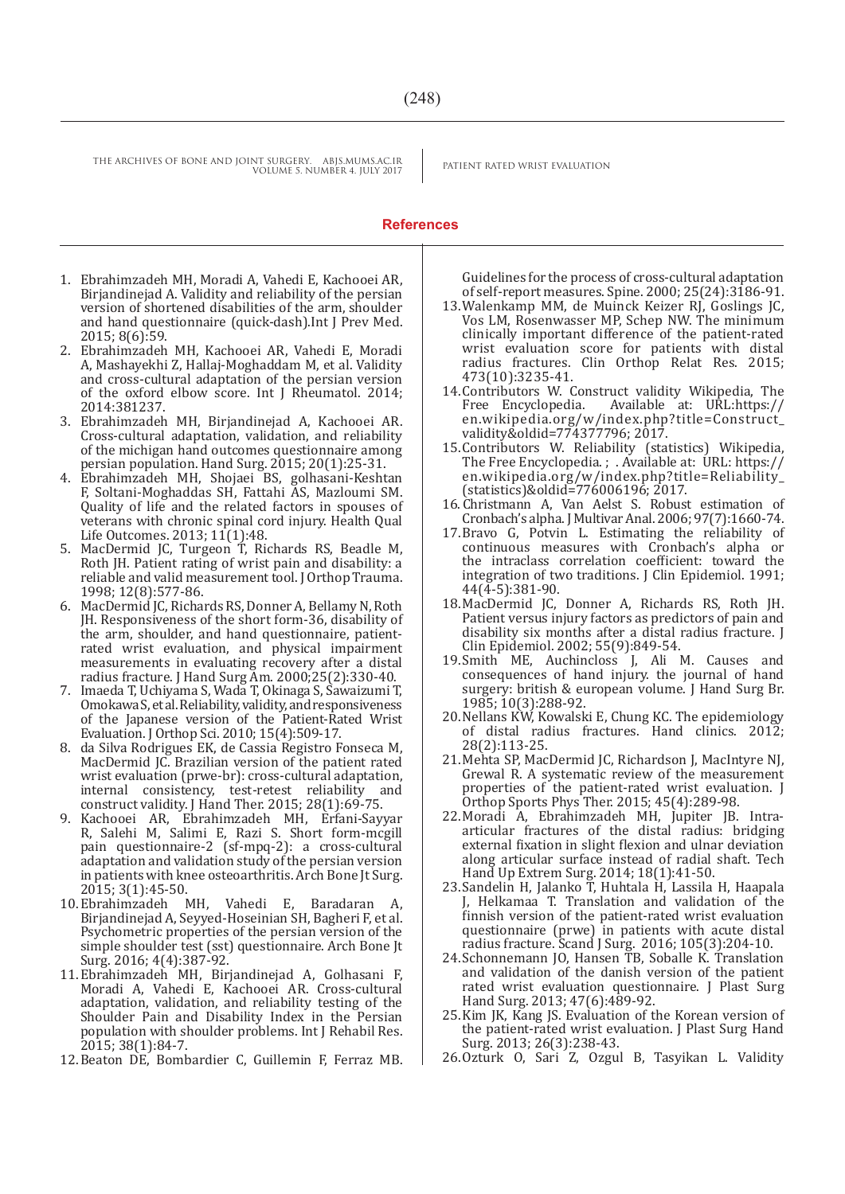#### **References**

- 1. Ebrahimzadeh MH, Moradi A, Vahedi E, Kachooei AR, Birjandinejad A. Validity and reliability of the persian version of shortened disabilities of the arm, shoulder and hand questionnaire (quick-dash).Int J Prev Med. 2015; 8(6):59.
- 2. Ebrahimzadeh MH, Kachooei AR, Vahedi E, Moradi A, Mashayekhi Z, Hallaj-Moghaddam M, et al. Validity and cross-cultural adaptation of the persian version of the oxford elbow score. Int J Rheumatol. 2014; 2014:381237.
- 3. Ebrahimzadeh MH, Birjandinejad A, Kachooei AR. Cross-cultural adaptation, validation, and reliability of the michigan hand outcomes questionnaire among persian population. Hand Surg. 2015; 20(1):25-31.
- 4. Ebrahimzadeh MH, Shojaei BS, golhasani-Keshtan F, Soltani-Moghaddas SH, Fattahi AS, Mazloumi SM. Quality of life and the related factors in spouses of veterans with chronic spinal cord injury. Health Qual Life Outcomes. 2013; 11(1):48.
- 5. MacDermid JC, Turgeon T, Richards RS, Beadle M, Roth JH. Patient rating of wrist pain and disability: a reliable and valid measurement tool. J Orthop Trauma. 1998; 12(8):577-86.
- 6. MacDermid JC, Richards RS, Donner A, Bellamy N, Roth JH. Responsiveness of the short form-36, disability of the arm, shoulder, and hand questionnaire, patientrated wrist evaluation, and physical impairment measurements in evaluating recovery after a distal radius fracture. J Hand Surg Am. 2000;25(2):330-40.
- 7. Imaeda T, Uchiyama S, Wada T, Okinaga S, Sawaizumi T, Omokawa S, et al. Reliability, validity, and responsiveness of the Japanese version of the Patient-Rated Wrist Evaluation. J Orthop Sci. 2010; 15(4):509-17.
- 8. da Silva Rodrigues EK, de Cassia Registro Fonseca M, MacDermid JC. Brazilian version of the patient rated wrist evaluation (prwe-br): cross-cultural adaptation, internal consistency, test-retest reliability and construct validity. J Hand Ther. 2015; 28(1):69-75.
- 9. Kachooei AR, Ebrahimzadeh MH, Erfani-Sayyar R, Salehi M, Salimi E, Razi S. Short form-mcgill pain questionnaire-2 (sf-mpq-2): a cross-cultural adaptation and validation study of the persian version in patients with knee osteoarthritis. Arch Bone Jt Surg. 2015; 3(1):45-50.<br>10. Ebrahimzadeh MH.
- Vahedi E, Baradaran A, Birjandinejad A, Seyyed-Hoseinian SH, Bagheri F, et al. Psychometric properties of the persian version of the simple shoulder test (sst) questionnaire. Arch Bone Jt Surg. 2016; 4(4):387-92.
- 11.Ebrahimzadeh MH, Birjandinejad A, Golhasani F, Moradi A, Vahedi E, Kachooei AR. Cross-cultural adaptation, validation, and reliability testing of the Shoulder Pain and Disability Index in the Persian population with shoulder problems. Int J Rehabil Res. 2015; 38(1):84-7.
- 12.Beaton DE, Bombardier C, Guillemin F, Ferraz MB.

Guidelines for the process of cross-cultural adaptation of self-report measures. Spine. 2000; 25(24):3186-91.

- 13.Walenkamp MM, de Muinck Keizer RJ, Goslings JC, Vos LM, Rosenwasser MP, Schep NW. The minimum clinically important difference of the patient-rated wrist evaluation score for patients with distal radius fractures. Clin Orthop Relat Res. 2015; 473(10):3235-41.
- 14. Contributors W. Construct validity Wikipedia, The Free Encyclopedia. Available at: URL:https:// Free Encyclopedia. Available at: URL:https:// en.wikipedia.org/w/index.php?title=Construct\_ validity&oldid=774377796; 2017.
- 15.Contributors W. Reliability (statistics) Wikipedia, The Free Encyclopedia. ; . Available at: URL: https:// en.wikipedia.org/w/index.php?title=Reliability\_ (statistics)&oldid=776006196; 2017.
- 16. Christmann A, Van Aelst S. Robust estimation of Cronbach's alpha. J Multivar Anal. 2006; 97(7):1660-74.
- 17.Bravo G, Potvin L. Estimating the reliability of continuous measures with Cronbach's alpha or the intraclass correlation coefficient: toward the integration of two traditions. J Clin Epidemiol. 1991; 44(4-5):381-90.
- 18.MacDermid JC, Donner A, Richards RS, Roth JH. Patient versus injury factors as predictors of pain and disability six months after a distal radius fracture. J Clin Epidemiol. 2002; 55(9):849-54.
- 19.Smith ME, Auchincloss J, Ali M. Causes and consequences of hand injury. the journal of hand surgery: british & european volume. J Hand Surg Br. 1985; 10(3):288-92.
- 20.Nellans KW, Kowalski E, Chung KC. The epidemiology of distal radius fractures. Hand clinics. 2012; 28(2):113-25.
- 21.Mehta SP, MacDermid JC, Richardson J, MacIntyre NJ, Grewal R. A systematic review of the measurement properties of the patient-rated wrist evaluation. J Orthop Sports Phys Ther. 2015; 45(4):289-98.
- 22.Moradi A, Ebrahimzadeh MH, Jupiter JB. Intraarticular fractures of the distal radius: bridging external fixation in slight flexion and ulnar deviation along articular surface instead of radial shaft. Tech Hand Up Extrem Surg. 2014; 18(1):41-50.
- 23.Sandelin H, Jalanko T, Huhtala H, Lassila H, Haapala J, Helkamaa T. Translation and validation of the finnish version of the patient-rated wrist evaluation questionnaire (prwe) in patients with acute distal radius fracture. Scand J Surg. 2016; 105(3):204-10.
- 24.Schonnemann JO, Hansen TB, Soballe K. Translation and validation of the danish version of the patient rated wrist evaluation questionnaire. I Plast Surg Hand Surg. 2013; 47(6):489-92.
- 25.Kim JK, Kang JS. Evaluation of the Korean version of the patient-rated wrist evaluation. J Plast Surg Hand Surg. 2013; 26(3):238-43.
- 26.Ozturk O, Sari Z, Ozgul B, Tasyikan L. Validity